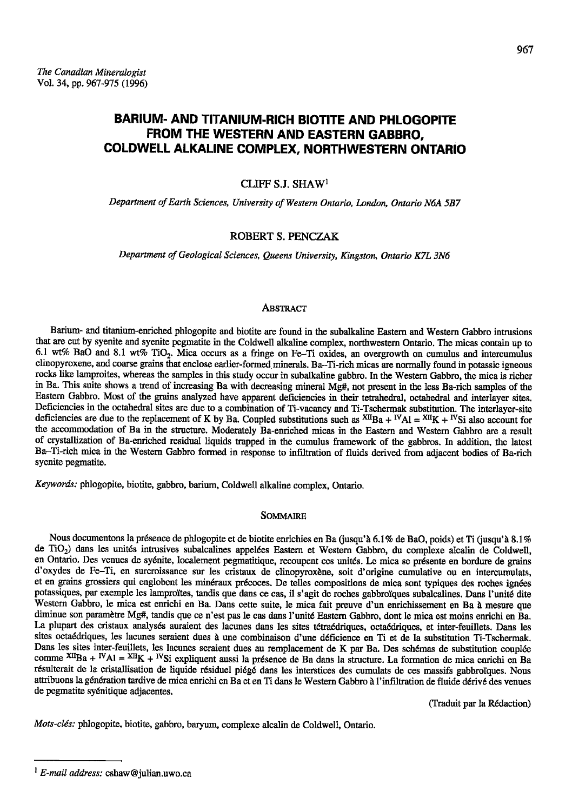# **BARIUM- AND TITANIUM-RICH BIOTITE AND PHLOGOPITE** FROM THE WESTERN AND EASTERN GABBRO. COLDWELL ALKALINE COMPLEX, NORTHWESTERN ONTARIO

## CLIFF S.J. SHAW<sup>1</sup>

Department of Earth Sciences, University of Western Ontario, London, Ontario N6A 5B7

## **ROBERT S. PENCZAK**

Department of Geological Sciences, Queens University, Kingston, Ontario K7L 3N6

#### Abstract

Barium- and titanium-enriched phlogopite and biotite are found in the subalkaline Eastern and Western Gabbro intrusions that are cut by syenite and syenite pegmatite in the Coldwell alkaline complex, northwestern Ontario. The micas contain up to 6.1 wt% BaO and 8.1 wt% TiO<sub>2</sub>. Mica occurs as a fringe on Fe-Ti oxides, an overgrowth on cumulus and intercumulus clinopyroxene, and coarse grains that enclose earlier-formed minerals. Ba-Ti-rich micas are normally found in potassic igneous rocks like lamproites, whereas the samples in this study occur in subalkaline gabbro. In the Western Gabbro, the mica is richer in Ba. This suite shows a trend of increasing Ba with decreasing mineral Mg#, not present in the less Ba-rich samples of the Eastern Gabbro. Most of the grains analyzed have apparent deficiencies in their tetrahedral, octahedral and interlayer sites. Deficiencies in the octahedral sites are due to a combination of Ti-vacancy and Ti-Tschermak substitution. The interlayer-site deficiencies are due to the replacement of K by Ba. Coupled substitutions such as  $^{XIB}$ Ba + <sup>IV</sup>Al =  $^{XII}$ K + <sup>IV</sup>Si also account for the accommodation of Ba in the structure. Moderately Ba-enriched micas in the Eastern and Western Gabbro are a result of crystallization of Ba-enriched residual liquids trapped in the cumulus framework of the gabbros. In addition, the latest Ba-Ti-rich mica in the Western Gabbro formed in response to infiltration of fluids derived from adjacent bodies of Ba-rich syenite pegmatite.

Keywords: phlogopite, biotite, gabbro, barium, Coldwell alkaline complex, Ontario.

## **SOMMAIRE**

Nous documentons la présence de phlogopite et de biotite enrichies en Ba (jusqu'à 6.1% de BaO, poids) et Ti (jusqu'à 8.1% de TiO<sub>2</sub>) dans les unités intrusives subalcalines appelées Eastern et Western Gabbro, du complexe alcalin de Coldwell, en Ontario. Des venues de syénite, localement pegmatitique, recoupent ces unités. Le mica se présente en bordure de grains d'oxydes de Fe-Ti, en surcroissance sur les cristaux de clinopyroxène, soit d'origine cumulative ou en intercumulats, et en grains grossiers qui englobent les minéraux précoces. De telles compositions de mica sont typiques des roches ignées potassiques, par exemple les lamproïtes, tandis que dans ce cas, il s'agit de roches gabbroïques subalcalines. Dans l'unité dite Western Gabbro, le mica est enrichi en Ba. Dans cette suite, le mica fait preuve d'un enrichissement en Ba à mesure que diminue son paramètre Mg#, tandis que ce n'est pas le cas dans l'unité Eastern Gabbro, dont le mica est moins enrichi en Ba. La plupart des cristaux analysés auraient des lacunes dans les sites tétraédriques, octaédriques, et inter-feuillets. Dans les sites octaédriques, les lacunes seraient dues à une combinaison d'une déficience en Ti et de la substitution Ti-Tschermak. Dans les sites inter-feuillets, les lacunes seraient dues au remplacement de K par Ba. Des schémas de substitution couplée comme  $^{XII}Ba + ^IVAl = ^{XII}K + ^IVSi$  expliquent aussi la présence de Ba dans la structure. La formation de mica enrichi en Ba résulterait de la cristallisation de liquide résiduel piégé dans les interstices des cumulats de ces massifs gabbroïques. Nous attribuons la génération tardive de mica enrichi en Ba et en Ti dans le Western Gabbro à l'infiltration de fluide dérivé des venues de pegmatite syénitique adjacentes.

(Traduit par la Rédaction)

Mots-clés: phlogopite, biotite, gabbro, baryum, complexe alcalin de Coldwell, Ontario.

 $1 E$ -mail address: cshaw@julian.uwo.ca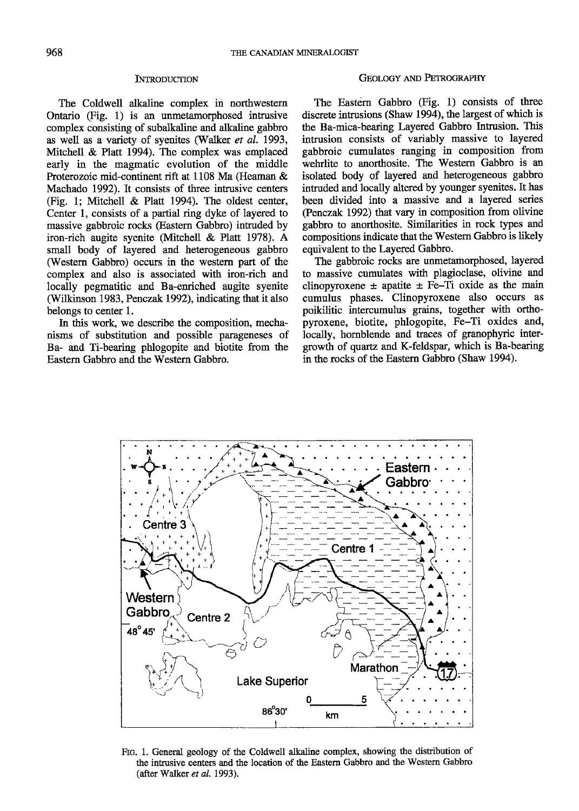### **INTRODUCTION**

The Coldwell alkaline complex in northwestem Ontario (Fig. 1) is an unmetamorphosed intrusive complex consisting of subalkaline and alkaline gabbro as well as a variety of syenites (Walker et al. 1993, Mitchel & Platt 1994). The complex was emplaced early in the magmatic evolution of the middle Proterozoic mid-continent rift at 1108 Ma (Heaman & Machado 1992). It consists of three intrusive centers (Fig. 1; Mitchell & Platt 1994). The oldest center, Center l, consists of a partial ring dyke of layered to massive gabbroic rocks (Eastern Gabbro) intruded by iron-rich augite syenite (Mitchell & Platt 1978). A small body of layered and heterogeneous gabbro (Western Gabbro) occurs in the western part of the complex and also is associated with iron-rich and locally pegmatitic and Ba-enriched augite syenite (Wilkinson 1983, Penczak 1992), indicating that it also belongs to center 1.

In this work, we describe the composition, mechanisms of substitution and possible parageneses of Ba- and Ti-bearing phlogopite and biotite from the Eastem Gabbro and the Western Gabbro.

## GEOLOGY AND PETROGRAPHY

The Eastern Gabbro (Fig. 1) consists of three discrete intrusions (Shaw 1994), the largest of which is the Ba-mica-bearing Layered Gabbro Intrusion. This intrusion consists of variably massive to layered gabbroic cumulates ranging in composition from wehrlite to anorthosite. The Western Gabbro is an isolated body of layered and heterogeneous gabbro intruded and locally altered by younger syenites. It has been divided into a massive and a layered series (Penczak L992) that vary in composition from olivine gabbro to anorthosite. Similarities in rock types and compositions indicate that the Westem Gabbro is likely equivalent to the Layered Gabbro.

The gabbroic rocks are unmetamorphosed, layered to massive cumulates with plagioclase, olivine and clinopyroxene  $\pm$  apatite  $\pm$  Fe-Ti oxide as the main cumulus phases. Clinopyroxene also occurs as poikilitic intercumulus grains, together with orthopyroxene, biotite, phlogopite, Fe-Ti oxides and, locally, hornblende and traces of granophyric intergrowth of quartz and K-feldspar, which is Ba-bearing in the rocks of the Eastern Gabbro (Shaw 1994).



Flc. 1. General geology of the Coldwell alkaline complex, showing the distribution of the intrusive centers and the location of the Eastern Gabbro and the Western Gabbro (after Walker er al. 1993).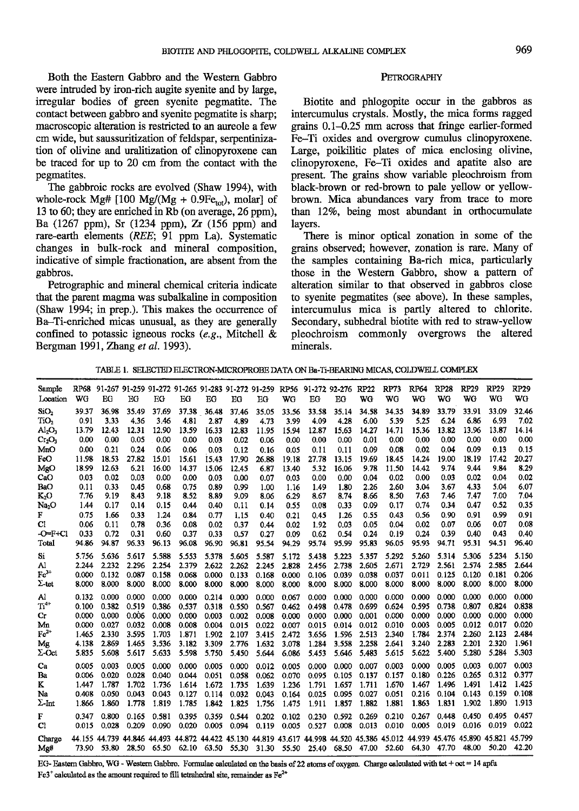Both the Eastern Gabbro and the Western Gabbro were intruded by iron-rich augite syenite and by large, irregular bodies of green syenite pegmatite. The contact between gabbro and syenite pegmatite is sharp; macroscopic alteration is restricted to an aureole a few cm wide, but saussuritization of feldspar, serpentinization of olivine and uralitization of clinopyroxene can be traced for up to 20 cm from fhe contact with the pegmatites.

The gabbroic rocks are evolved (Shaw 1994), with whole-rock Mg#  $[100 \text{ Mg/(Mg + 0.9Fe}_{tot}), \text{molar}]$  of 13 to 60; they are enriched in Rb (on average,  $26$  ppm), Ba (1267 ppm), Sr (1234 ppm), Zr (156 ppm) and rare-earth elements (REE: 9l ppm La). Systematic changes in bulk-rock and mineral composition, indicative of simple fractionation, are absent from the gabbros.

Petrographic and mineral chemical criteria indicate that the parent magma was subalkaline in composition (Shaw 1994; in prep.). This makes the occurrence of Ba-Ti-enriched micas unusual, as they are generally confined to potassic igneous rocks  $(e.g.,$  Mitchell  $\&$ Bergman l99l,Zhang et al. 1993).

## PETROGRAPHY

Biotite and phlogopite occur in the gabbros as intercumulus crystals. Mostly, the mica forms ragged grains  $0.1-0.25$  mm across that fringe earlier-formed Fe-Ti oxides and overgrow cumulus clinopyroxene. Large, poikilitic plates of mica enclosing olivine, clinopyroxene, Fe-Ti oxides and apatite also are present. The grains show variable pleochroism from black-brown or red-brown to pale yellow or yellowbrown. Mica abundances vary from trace to more than  $12\%$ , being most abundant in orthocumulate layers.

There is minor optical zonation in some of the grains observed; however, zonation is rare. Many of the samples containing Ba-rich mica, particularly those in the Western Gabbro, show a pattern of alteration similar to that observed in gabbros close to syenite pegmatites (see above). In these samples, intercumulus mica is partly altered to chlorite. Secondary, subhedral biotite with red to straw-yellow pleochroism commonly overgrows the altered minerals.

TABLE 1. SELECTED FLECTRON-MICROPROBE DATA ON Ba-Ti-BEARING MICAS, COLDWELL COMPLEX

| Sample<br>Location | WG    | ΒG    | EG    | EG    | RP68 91-267 91-259 91-272 91-265 91-283 91-272 91-259 RP56 91-272 92-276<br>ЕG | EG    | EG    | EG    | WG    | EG    | EG    | RP22<br>WG | RP73<br>WG                                                                                                                    | RP64<br>WG | <b>RP28</b><br>WG | RP29<br>WG | <b>RP29</b><br>WG | <b>RP29</b><br>WG |
|--------------------|-------|-------|-------|-------|--------------------------------------------------------------------------------|-------|-------|-------|-------|-------|-------|------------|-------------------------------------------------------------------------------------------------------------------------------|------------|-------------------|------------|-------------------|-------------------|
| SiO <sub>2</sub>   | 39.37 | 36.98 | 35.49 | 37.69 | 37.38                                                                          | 36.48 | 37.46 | 35.05 | 33.56 | 33.58 | 35.14 | 34.58      | 34.35                                                                                                                         | 34.89      | 33.79             | 33.91      | 33.09             | 32.46             |
| TiO <sub>2</sub>   | 0.91  | 3.33  | 4.36  | 3.46  | 4.81                                                                           | 2.87  | 4.89  | 4.73  | 3.99  | 4.09  | 4.28  | 6.00       | 5.39                                                                                                                          | 5.25       | 6.24              | 6.86       | 6.93              | 7.02              |
| $\rm Al_2O_3$      | 13.79 | 12.43 | 12.31 | 12.90 | 13.59                                                                          | 16.33 | 12.83 | 11.95 | 15.94 | 12.87 | 15.63 | 14.27      | 14.71                                                                                                                         | 15.36      | 13.82             | 13.96      | 13.87             | 14.14             |
| $Cr_2O_3$          | 0.00  | 0.00  | 0.05  | 0.00  | 0.00                                                                           | 0.03  | 0.02  | 0.06  | 0.00  | 0.00  | 0.00  | 0.01       | 0.00                                                                                                                          | 0.00       | 0.00              | 0.00       | 0.00              | 0.00              |
| MnO                | 0.00  | 0.21  | 0.24  | 0.06  | 0.06                                                                           | 0.03  | 0.12  | 0.16  | 0.05  | 0.11  | 0.11  | 0.09       | 0.08                                                                                                                          | 0.02       | 0.04              | 0.09       | 0.13              | 0.15              |
| FeO                | 11.98 | 18.53 | 27.82 | 15.01 | 15.61                                                                          | 15.43 | 17.90 | 26.88 | 19.18 | 27.78 | 13.15 | 19.69      | 18.45                                                                                                                         | 14.24      | 19.00             | 18.19      | 17.42             | 20.27             |
| MgO                | 18.99 | 12.63 | 6.21  | 16.00 | 14.37                                                                          | 15.06 | 12.45 | 6.87  | 13.40 | 5.32  | 16.06 | 9.78       | 11.50                                                                                                                         | 14.42      | 9.74              | 9.44       | 9.84              | 8.29              |
| CaO                | 0.03  | 0.02  | 0.03  | 0.00  | 0.00                                                                           | 0.03  | 0.00  | 0.07  | 0.03  | 0.00  | 0.00  | 0.04       | 0.02                                                                                                                          | 0.00       | 0.03              | 0.02       | 0.04              | 0.02              |
| BaO                | 0.11  | 0.33  | 0.45  | 0.68  | 0.75                                                                           | 0.89  | 0.99  | 1.00  | 1.16  | 1.49  | 1.80  | 2.26       | 2.60                                                                                                                          | 3.04       | 3.67              | 4.33       | 5.04              | 6.07              |
| K2O                | 7.76  | 9.19  | 8.43  | 9.18  | 8.52                                                                           | 8.89  | 9.09  | 8.06  | 6.29  | 8.67  | 8.74  | 8.66       | 8.50                                                                                                                          | 7.63       | 7.46              | 7.47       | 7.00              | 7.04              |
| Na <sub>2</sub> O  | 1.44  | 0.17  | 0.14  | 0.15  | 0.44                                                                           | 0.40  | 0.11  | 0.14  | 0.55  | 0.08  | 0.33  | 0.09       | 0.17                                                                                                                          | 0.74       | 0.34              | 0.47       | 0.52              | 0.35              |
| F                  | 0.75  | 1.66  | 0.33  | 1.24  | 0.84                                                                           | 0.77  | 1.15  | 0.40  | 0.21  | 0.45  | 1.26  | 0.55       | 0.43                                                                                                                          | 0.56       | 0.90              | 0.91       | 0.99              | 0.91              |
| Cl                 | 0.06  | 0.11  | 0.78  | 0.36  | 0.08                                                                           | 0.02  | 0.37  | 0.44  | 0.02  | 1.92  | 0.03  | 0.05       | 0.04                                                                                                                          | 0.02       | 0.07              | 0.06       | 0.07              | 0.08              |
| $-OF+Cl$           | 0.33  | 0.72  | 0.31  | 0.60  | 0.37                                                                           | 0.33  | 0.57  | 0.27  | 0.09  | 0.62  | 0.54  | 0.24       | 0.19                                                                                                                          | 0.24       | 0.39              | 0.40       | 0.43              | 0.40              |
| Total              | 94.86 | 94.87 | 96.33 | 96.13 | 96.08                                                                          | 96.90 | 96.81 | 95.54 | 94.29 | 95.74 | 95.99 | 95.83      | 96.05                                                                                                                         | 95.93      | 94.71             | 95.31      | 94.51             | 96.40             |
| S <sub>i</sub>     | 5.756 | 5.636 | 5.617 | 5.588 | 5.553                                                                          | 5.378 | 5.605 | 5.587 | 5.172 | 5.438 | 5.223 | 5.357      | 5.292                                                                                                                         | 5.260      | 5.314             | 5.306      | 5.234             | 5.150             |
| Al                 | 2.244 | 2.232 | 2.296 | 2.254 | 2.379                                                                          | 2.622 | 2.262 | 2.245 | 2.828 | 2.456 | 2.738 | 2.605      | 2.671                                                                                                                         | 2.729      | 2.561             | 2.574      | 2.585             | 2.644             |
| $Fe3+$             | 0.000 | 0.132 | 0.087 | 0.158 | 0.068                                                                          | 0.000 | 0.133 | 0.168 | 0.000 | 0.106 | 0.039 | 0.038      | 0.037                                                                                                                         | 0.011      | 0.125             | 0.120      | 0.181             | 0.206             |
| $\Sigma$ -tet      | 8.000 | 8.000 | 8.000 | 8,000 | 8.000                                                                          | 8.000 | 8.000 | 8.000 | 8.000 | 8,000 | 8.000 | 8.000      | 8.000                                                                                                                         | 8.000      | 8.000             | 8.000      | 8.000             | 8.000             |
| Al                 | 0.132 | 0.000 | 0.000 | 0.000 | 0.000                                                                          | 0.214 | 0.000 | 0.000 | 0.067 | 0.000 | 0.000 | 0.000      | 0.000                                                                                                                         | 0.000      | 0000              | 0.000      | 0.000             | 0.000             |
| $\mathrm{Ti}^{4+}$ | 0.100 | 0.382 | 0.519 | 0.386 | 0.537                                                                          | 0.318 | 0.550 | 0.567 | 0.462 | 0.498 | 0.478 | 0.699      | 0.624                                                                                                                         | 0.595      | 0.738             | 0.807      | 0.824             | 0.838             |
| Сr                 | 0.000 | 0.000 | 0.006 | 0.000 | 0.000                                                                          | 0.003 | 0.002 | 0.008 | 0.000 | 0.000 | 0.000 | 0.001      | 0.000                                                                                                                         | 0.000      | 0.000             | 0.000      | 0.000             | 0.000             |
| Mn                 | 0.000 | 0.027 | 0.032 | 0.008 | 0.008                                                                          | 0.004 | 0.015 | 0.022 | 0.007 | 0.015 | 0.014 | 0.012      | 0.010                                                                                                                         | 0.003      | 0.005             | 0.012      | 0.017             | 0.020             |
| $Fe2+$             | 1.465 | 2.330 | 3.595 | 1.703 | 1.871                                                                          | 1.902 | 2.107 | 3.415 | 2.472 | 3.656 | 1.596 | 2.513      | 2.340                                                                                                                         | 1.784      | 2.374             | 2.260      | 2.123             | 2.484             |
| Mg                 | 4.138 | 2.869 | 1.465 | 3.536 | 3.182                                                                          | 3.309 | 2.776 | 1.632 | 3.078 | 1.284 | 3.558 | 2.258      | 2.641                                                                                                                         | 3.240      | 2.283             | 2.201      | 2.320             | 1.961             |
| $\Sigma$ -Oct      | 5.835 | 5.608 | 5.617 | 5.633 | 5.598                                                                          | 5.750 | 5.450 | 5.644 | 6.086 | 5.453 | 5.646 | 5.483      | 5.615                                                                                                                         | 5.622      | 5.400             | 5.280      | 5.284             | 5.303             |
| Ca                 | 0.005 | 0.003 | 0.005 | 0.000 | 0.000                                                                          | 0.005 | 0.000 | 0.012 | 0.005 | 0.000 | 0.000 | 0.007      | 0.003                                                                                                                         | 0.000      | 0.005             | 0.003      | 0.007             | 0.003             |
| Ba                 | 0.006 | 0.020 | 0.028 | 0.040 | 0.044                                                                          | 0.051 | 0.058 | 0.062 | 0.070 | 0.095 | 0.105 | 0.137      | 0.157                                                                                                                         | 0.180      | 0.226             | 0.265      | 0.312             | 0.377             |
| K                  | 1.447 | 1.787 | 1.702 | 1.736 | 1.614                                                                          | 1.672 | 1.735 | 1.639 | 1.236 | 1.791 | 1.657 | 1.711      | 1.670                                                                                                                         | 1.467      | 1.496             | 1.491      | 1.412             | 1.425             |
| Na                 | 0.408 | 0.050 | 0.043 | 0.043 | 0.127                                                                          | 0.114 | 0.032 | 0.043 | 0.164 | 0.025 | 0.095 | 0.027      | 0.051                                                                                                                         | 0.216      | 0.104             | 0.143      | 0.159             | 0.108             |
| $\Sigma$ -Int      | 1.866 | 1.860 | 1.778 | 1.819 | 1.785                                                                          | 1.842 | 1.825 | 1.756 | 1.475 | 1.911 | 1.857 | 1.882      | 1.881                                                                                                                         | 1.863      | 1.831             | 1.902      | 1.890             | 1.913             |
| F                  | 0.347 | 0.800 | 0.165 | 0.581 | 0.395                                                                          | 0.359 | 0.544 | 0.202 | 0.102 | 0.230 | 0.592 | 0.269      | 0.210                                                                                                                         | 0.267      | 0.448             | 0.450      | 0.495             | 0.457             |
| C1                 | 0.015 | 0.028 | 0.209 | 0.090 | 0.020                                                                          | 0.005 | 0.094 | 0.119 | 0.005 | 0.527 | 0.008 | 0.013      | 0.010                                                                                                                         | 0.005      | 0.019             | 0.016      | 0.019             | 0.022             |
| Charge             |       |       |       |       |                                                                                |       |       |       |       |       |       |            | 44.155 44.739 44.846 44.493 44.872 44.422 45.130 44.819 43.617 44.998 44.520 45.386 45.012 44.939 45.476 45.890 45.821 45.799 |            |                   |            |                   |                   |
| Mg#                | 73.90 | 53.80 |       |       |                                                                                |       |       |       |       |       |       |            | 28.50 65.50 62.10 63.50 55.30 31.30 55.50 25.40 68.50 47.00 52.60 64.30 47.70                                                 |            |                   | 48.00      | 50.20             | 42.20             |

EG- Eastern Gabbro, WG - Western Gabbro. Formulae calculated on the basis of 22 atoms of oxygen. Charge calculated with tet + oct = 14 apfu Fe3<sup>\*</sup> calculated as the amount required to fill tetrahedral site, remainder as Fe<sup>2+</sup>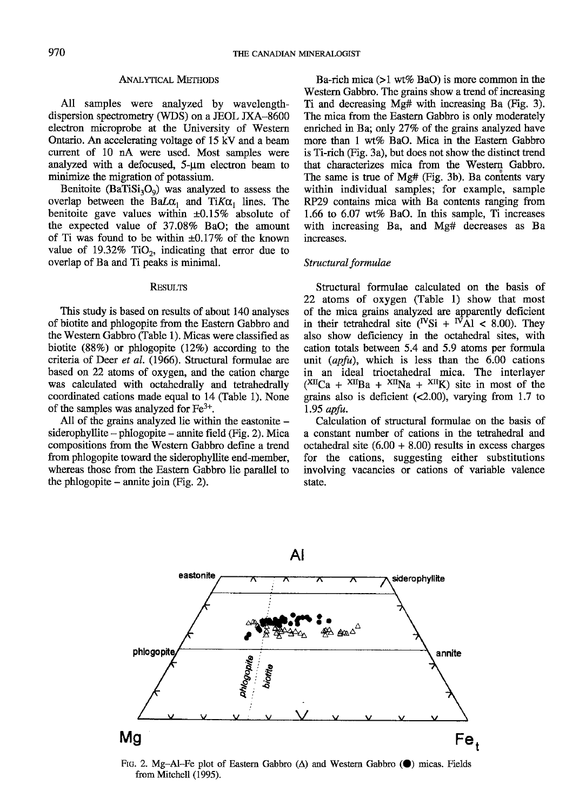## **ANALYTICAL METHODS**

All samples were analyzed by wavelengthdispersion spectrometry (WDS) on a JEOL IXA-8600 electron microprobe at the University of Western Ontario. An accelerating voltage of 15 kV and a beam current of 10 nA were used. Most samples were analyzed with a defocused,  $5-\mu m$  electron beam to minimize the migration of potassium.

Benitoite  $(BaTiSi<sub>3</sub>O<sub>9</sub>)$  was analyzed to assess the overlap between the BaL $\alpha_1$  and TiK $\alpha_1$  lines. The benitoite gave values within  $\pm 0.15\%$  absolute of the expected value of 37.08% BaO; the amount of Ti was found to be within  $\pm 0.17\%$  of the known value of  $19.32\%$  TiO<sub>2</sub>, indicating that error due to overlap of Ba and Ti peaks is minimal.

#### **RESULTS**

This study is based on results of about 140 analyses of biotite and phlogopite from the Eastern Gabbro and the Western Gabbro (Table 1). Micas were classified as biotite  $(88%)$  or phlogopite  $(12%)$  according to the criteria of Deer et al. (1966). Structural formulae are based on 22 atoms of oxygen, and the cation charge was calculated with octahedrally and tetrahedrally coordinated cations made equal to 14 (Table 1). None of the samples was analyzed for  $Fe<sup>3+</sup>$ .

All of the grains analyzed lie within the eastonite siderophyllite  $-$  phlogopite  $-$  annite field (Fig. 2). Mica compositions from the Western Gabbro define a trend from phlogopite toward the siderophyllite end-member, whereas those from the Eastem Gabbro lie parallel to the phlogopite  $-$  annite join (Fig. 2).

Ba-rich mica  $(>1 \text{ wt\% BaO})$  is more common in the Western Gabbro. The grains show a trend of increasing Ti and decreasing Mg# with increasing Ba (Fig. 3). The mica from the Eastern Gabbro is only moderately enriched in Ba; only 27% of the grains analyzed have more than 1 wt% BaO. Mica in the Eastern Gabbro is Ti-rich Gig. 3a), but does not show the distinct trend that characterizes mica from the Western Gabbro. The same is true of Mg# (Fig. 3b). Ba contents vary within individual samples; for example, sample RP29 contains mica with Ba contents ranging from  $1.66$  to  $6.07$  wt% BaO. In this sample, Ti increases with increasing Ba, and Mg# decreases as Ba increases.

### Structural formulae

Structural formulae calculated on the basis of 22 atoms of oxygen (Table l) show that most of the mica grains analyzed are apparently deficient in their tetrahedral site  $({}^{\text{IV}}\text{Si} + {}^{\text{IV}}\text{Al} < 8.00)$ . They also show deficiency in the octahedral sites, with cation totals between 5.4 and 5.9 atoms per formula unit  $\langle \text{apfu} \rangle$ , which is less than the 6.00 cations in an ideal trioctahedral mica. The interlayer  $(XII)$ Ca +  $XII$ Ba +  $XII$ Na +  $XII$ K) site in most of the grains also is deficient (<2.00), varying from 1.7 to 1.95 apfu.

Calculation of structural formulae on the basis of a constant number of cations in the tetrahedral and octahedral site  $(6.00 + 8.00)$  results in excess charges for the cations, suggesting either substitutions involving vacancies or cations of variable valence state.



Ftg. 2. Mg-Al-Fe plot of Eastern Gabbro  $(\Delta)$  and Western Gabbro  $(\bullet)$  micas. Fields from Mitchell (1995).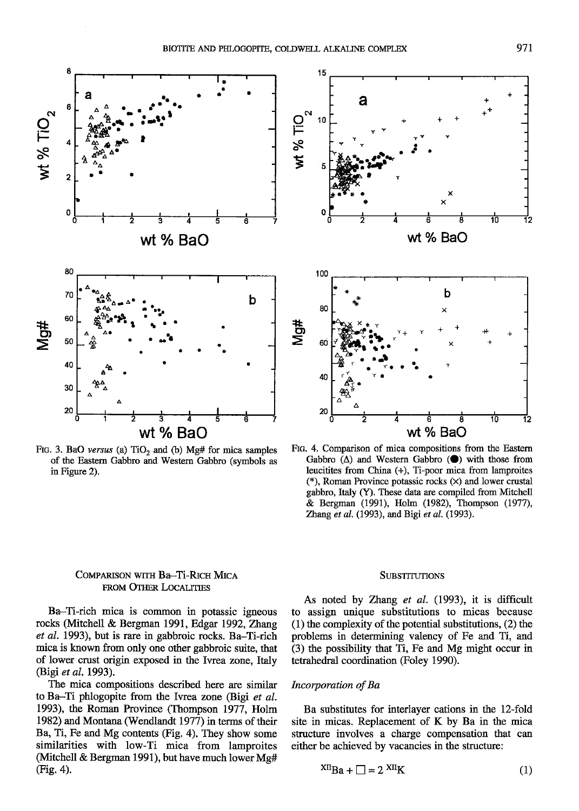15



FIG. 3. BaO versus (a)  $TiO<sub>2</sub>$  and (b) Mg# for mica samples of the Eastern Gabbro and Western Gabbro (symbols as in Figure 2).



FIG. 4. Comparison of mica compositions from the Eastern Gabbro  $(\Delta)$  and Western Gabbro  $(\bullet)$  with those from leucitites from China (+), Ti-poor mica from lamproites (\*), Roman Province potassic rocks  $(x)$  and lower crustal gabbro, Italy (Y). These data are compiled from Mitchell & Bergman (1991), Holm (1982), Thompson (1977), Zhang et al. (1993), and Bigi et al. (1993).

## COMPARISON WITH Ba-Ti-RICH MICA FROM OTHER LOCALITIES

Ba-Ti-rich mica is common in potassic igneous rocks (Mitchell & Bergman 1991, Edgar 1992, Zhang et al. 1993), but is rare in gabbroic rocks. Ba-Ti-rich mica is known from only one other gabbroic suite, that of lower crust origin exposed in the Ivrea zone, Italy (Bigi et al. 1993).

The mica compositions described here are similar to Ba-Ti phlogopite from the Ivrea zone (Bigi et al. 1993), the Roman Province (Thompson 1977, Holm 1982) and Montana (Wendlandt 1977) in terms of their Ba, Ti, Fe and Mg contents (Fig. 4). They show some similarities with low-Ti mica from lamproites (Mitchell & Bergman 1991), but have much lower Mg# (Fig. 4).

#### **SUBSTITUTIONS**

As noted by Zhang et al. (1993), it is difficult to assign unique substitutions to micas because  $(1)$  the complexity of the potential substitutions,  $(2)$  the problems in determining valency of Fe and Ti, and (3) the possibility that Ti, Fe and Mg might occur in tetrahedral coordination (Foley 1990).

## Incorporation of Ba

Ba substitutes for interlayer cations in the 12-fold site in micas. Replacement of K by Ba in the mica structure involves a charge compensation that can either be achieved by vacancies in the structure:

$$
XII_{\text{Ba}} + \square = 2 XII_{\text{K}} \tag{1}
$$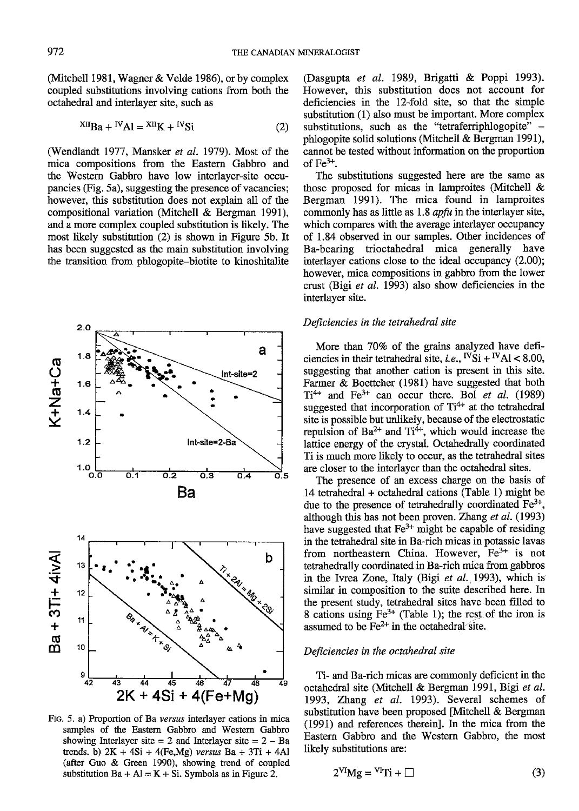(Mitchell 1981, Wagner  $&$  Velde 1986), or by complex coupled substitutions involving cations from both the octahedral and interlaver site, such as

$$
^{XII}Ba + ^{IV}Al = ^{XII}K + ^{IV}Si
$$
 (2)

(Wendlandt 1977, Mansker et al. 1979). Most of the mica compositions from the Eastern Gabbro and the Western Gabbro have low interlayer-site occupancies (Fig. 5a), suggesting the presence of vacancies; however, this substitution does not explain all of the compositional variation (Mitchell & Bergman l99l), and a more complex coupled substitution is likely. The most likely substitution (2) is shown in Figure 5b. It has been suggested as the main substitution involving the transition from phlogopite-biotite to kinoshitalite



FtG. 5. a) Proportion of Ba versus interlayer cations in mica samples of the Eastem Gabbro and Westem Gabbro showing Interlayer site  $= 2$  and Interlayer site  $= 2 - Ba$ trends. b)  $2K + 4Si + 4(Fe, Mg)$  versus  $Ba + 3Ti + 4Al$ (after Guo & Green 1990), showing trend of coupled substitution  $Ba + Al = K + Si$ . Symbols as in Figure 2.

(Dasgupta et al. 1989, Brigatti & Poppi 1993). However, this substitution does not account for deficiencies in the 12-fold site, so that the simple substitution (1) also must be important. More complex substitutions, such as the "tetraferriphlogopite"  $$ phlogopite solid solutions (Mitchell & Bergman 1991), cannot be tested without infonnation on the proportion of  $Fe^{3+}$ .

The substitutions suggested here are the same as those proposed for micas in lamproites (Mitchell  $\&$ Bergman 1991). The mica found in lamproites commonly has as little as 1.8 *apfu* in the interlayer site, which compares with the average interlayer occupancy of 1.84 observed in our samples. Other incidences of Ba-bearing trioctahedral mica generally have interlayer cations close to the ideal occupancy (2.00); however, mica compositions in gabbro from the lower crust (Bigi et al. 1993) also show deficiencies in the interlayer site.

## Deficiencies in the tetrahedral site

More than 70% of the grains analyzed have deficiencies in their tetrahedral site, *i.e.*,  $^{IV}\text{Si} + ^{IV}\text{Al} < 8.00$ , suggesting that another cation is present in this site. Farmer & Boettcher (1981) have suggested that both  $Ti^{4+}$  and Fe<sup>3+</sup> can occur there. Bol et al. (1989) suggested that incorporation of  $Ti<sup>4+</sup>$  at the tetrahedral site is possible but unlikely, because of the electrostatic repulsion of  $Ba^{2+}$  and  $Ti^{4+}$ , which would increase the lattice energy of the crystal. Octahedrally coordinated Ti is much more likely to occw, as the tetrahedral sites are closer to the interlayer than the octahedral sites.

The presence of an excess charge on the basis of 14 tetrahedral + octahedral cations (Table l) might be due to the presence of tetrahedrally coordinated  $Fe<sup>3+</sup>$ , although this has not been proven. Zhang et al.  $(1993)$ have suggested that  $Fe<sup>3+</sup>$  might be capable of residing in the tetrahedral site in Ba-rich micas in potassic lavas from northeastern China. However, Fe<sup>3+</sup> is not tetrahedrally coordinated in Ba-rich mica from gabbros in the Ivrea Zone, Italy (Bigi et al. 1993), which is similar in composition to the suite described here. In the present study, tetrahedral sites have been filled to 8 cations using  $Fe^{3+}$  (Table 1); the rest of the iron is assumed to be  $Fe<sup>2+</sup>$  in the octahedral site.

### Deficiencies in the octahedral site

Ti- and Ba-rich micas are commonly deficient in the octahedral site (Mitchell & Bergman 1991, Bigi et al. 1993, Zhang et al. 1993). Several schemes of substitution have been proposed [Mitchell & Bergman (1991) and references thereinl. In the mica from the Eastern Gabbro and the Western Gabbro, the most likely substitutions are:

$$
2^{VI}Mg = {}^{VI}Ti + \Box
$$
 (3)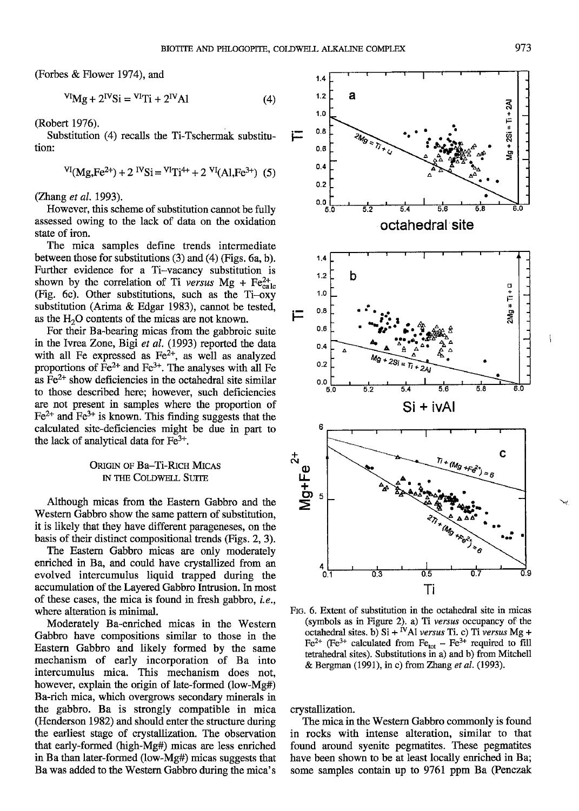(Forbes & Flower 1974), and

$$
VI_Mg + 2IVSi = VITi + 2IVAI
$$
 (4)

(Robert 1976).

Substitution (4) recalls the Ti-Tschermak substitution: tion: 0.6

$$
^{VI}(Mg,Fe^{2+}) + 2 {^{IV}Si} = {^{VI}Ti^{4+}} + 2 {^{VI}}(Al,Fe^{3+}) (5)
$$

(Zhang et al. 1993).

However, this scheme of substitution cannot be fully assessed owing to the lack of data on the oxidation state of iron.

The mica samples define trends intermediate between those for substitutions (3) and (4) (Figs. 6a, b). Further evidence for a Ti-vacancy substitution is shown by the correlation of Ti versus Mg + Fe $_{\text{calc}}^{2+}$ (Fig. 6c). Other substitutions, such as the Ti-oxy substitution (Arima & Edgar 1983), cannot be tested, as the  $H<sub>2</sub>O$  contents of the micas are not known.

For their Ba-bearing micas from the gabbroic suite in the Ivrea Zone, Bigi et al. (1993) reported the data with all Fe expressed as  $Fe<sup>2+</sup>$ , as well as analyzed proportions of  $Fe^{2+}$  and  $Fe^{3+}$ . The analyses with all Fe as  $\text{Fe}^{2+}$  show deficiencies in the octahedral site similar to those described here; however, such deficiencies are not present in samples where the proportion of  $Fe<sup>2+</sup>$  and  $Fe<sup>3+</sup>$  is known. This finding suggests that the calculated site-deficiencies might be due in part to the lack of analytical data for  $Fe<sup>3+</sup>$ .

## ORIGIN OF Ba-Ti-RICH MICAS IN THE COLDWELL SUITE

Although micas from the Eastern Gabbro and the Western Gabbro show the same pattem of substifution, it is likely that they have different parageneses, on the basis of their distinct compositional trends (Figs. 2, 3).

The Eastem Gabbro micas are only moderately enriched in Ba, and could have crystallized from an evolved intercumulus liquid trapped during the accumulation of the Layered Gabbro lntrusion. In most of these cases, the mica is found in fresh gabbro, i.e., where alteration is minimal.

Moderately Ba-enriched micas in the Western Gabbro have compositions similar to those in the Eastern Gabbro and likely formed by the same mechanism of early incorporation of Ba into intercumulus mica. This mechanism does not. however, explain the origin of late-formed (low-Mg#) Ba-rich mica, which overgrows secondary minerals in the gabbro. Ba is strongly compatible in mica (Henderson 1982) and should enter the structure during the earliest stage of crystallization. The observation that early-formed (high-Mg#) micas are less enriched in Ba than later-fonned (low-Mg#) micas suggests that Ba was added to the Western Gabbro during the mica's



FIG. 6. Extent of substitution in the octahedral site in micas (symbols as in Figure 2). a) Ti versus occupancy of the octahedral sites. b)  $Si + iV$ Al versus Ti. c) Ti versus Mg + Fe<sup>2+</sup> (Fe<sup>3+</sup> calculated from Fe<sub>tot</sub> – Fe<sup>3+</sup> required to fil tetrahedral sites). Substitutions in a) and b) from Mirchell & Bergman (1991), in c) from Zhang et al. (1993).

crystallization.

The mica in the Western Gabbro commonly is found in rocks with intense alteration, similar to that found around syenite pegmatites. These pegmatites have been shown to be at least locally enriched in Ba; some samples contain up to 9761 ppm Ba (Penczak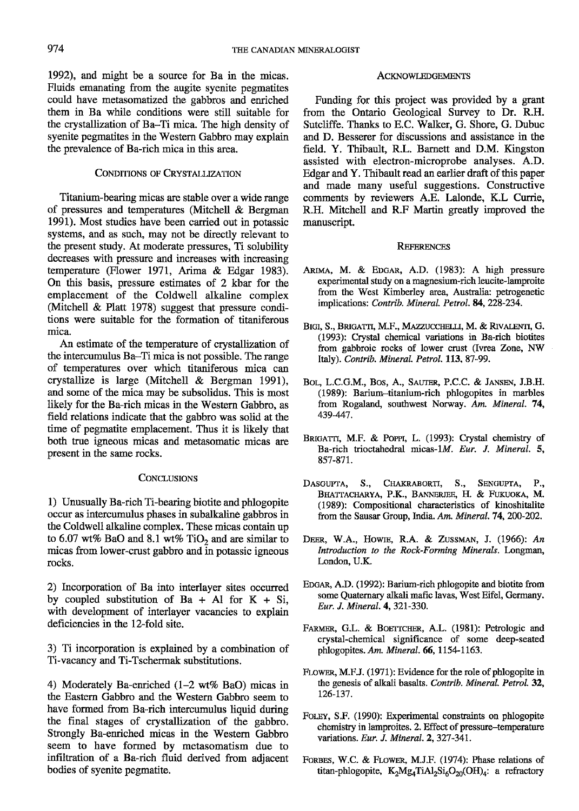L992), and might be a source for Ba in the micas. Fluids emanating from the augite syenite pegmatites could have metasomatized the gabbros and enriched them in Ba while conditions were still suitable for the crystallization of Ba-Ti mica. The high density of syenite pegmatites in the Westem Gabbro may explain the prevalence of Ba-rich mica in this area.

### CONDITIONS OF CRYSTALLIZATION

Titanium-bearing micas are stable over a wide range of pressures and temperatures (Mitchell & Bergman 1991). Most studies have been carried out in potassic systems, and as such, may not be directly relevant to the present study. At moderate pressures, Ti solubility decreases with pressure and increases with increasing temperature (Flower 1971, Arima & Edgar 1983). On this basis, pressure estimates of 2 kbar for the emplacement of the Coldwell alkaline complex (Mitchell  $\&$  Platt 1978) suggest that pressure conditions were suitable for the formation of titaniferous mica.

An estimate of the temperature of crystallization of the intercumulus Ba-Ti mica is not possible. The range of temperatures over which titaniferous mica can crystallize is large (Mitchell & Bergman 1991), and some of the mica may be subsolidus. This is most likely for the Ba-rich micas in the Western Gabbro, as field relations indicate that the gabbro was solid at the time of pegmatite emplacement. Thus it is likely that both true igneous micas and metasomatic micas are present in the same rocks.

### **CONCLUSIONS**

l) Unusually Ba-rich Ti-bearing biotite and phlogopite occur as intercumulus phases in subalkaline gabbros in the Coldwell alkaline complex. These micas contain up to 6.07 wt% BaO and 8.1 wt% TiO<sub>2</sub> and are similar to micas from lower-crust gabbro and in potassic igneous rocks.

2) Incorporation of Ba into interlayer sites occurred by coupled substitution of Ba + Al for  $K + Si$ , with development of interlayer vacancies to explain deficiencies in the l2-fold site.

3) Ti incorporation is explained by a combination of Ti-vacancy and Ti-Tschermak substitutions.

4) Moderately Ba-enriched  $(1-2 \text{ wt\% BaO})$  micas in the Eastern Gabbro and the Western Gabbro seem to have formed from Ba-rich intercumulus liquid during the final stages of crystallization of the gabbro. Strongly Ba-enriched micas in the Westem Gabbro seem to have formed by metasomatism due to infiltration of a Ba-rich fluid derived from adjacent bodies of syenite pegmatite.

### **ACKNOWLEDGEMENTS**

Funding for this project was provided by a grant from the Ontario Geological Survey to Dr. R.H. Sutcliffe. Thanks to E.C. Walker, G. Shore, G. Dubuc and D. Besserer for discussions and assistance in the field. Y. Thibault, R.L. Barnett and D.M. Kingston assisted with electron-microprobe analyses. A.D. Edgar and Y. Thibault read an earlier draft of this paper and made many useful suggestions. Constructive comments by reviewers A.E. Lalonde, K.L Currie, R.H. Mitchell and R.F Martin greatly improved the manuscript.

### **REFERENCES**

- ARIMA, M. & EDGAR, A.D. (1983): A high pressure experimental study on a magnesium-rich leucite-lamproite from the West Kimberley area, Australia: petrogenetic implications: Contrib. Mineral. Petrol. 84, 228-234.
- BIGI, S., BRIGATTI, M.F., MAZZUCCHELLI, M. & RIVALENTI, G. (1993): Crystal chemical variations in Ba-rich biotites from gabbroic rocks of lower crust (Ivrea Zone, NW Italy). Contrib. Mineral. Petrol. 113, 87-99.
- BOL, L.C.G.M., BOS, A., SAUTER, P.C.C. & JANSEN, J.B.H. (1989): Barium-titanium-rich phlogopites in marbles from Rogaland, southwest Norway. Am. Mineral. 74, 439-447.
- BRIGATTI, M.F. & POPPI, L. (1993): Crystal chemistry of Ba-rich trioctahedral micas-lM. Eur. J. Mineral. 5. 857-87I.
- DASGUPTA, S., CHAKRABORTI, S., SENGUPTA, P., BHATTACHARYA, P.K., BANNERJEE, H. & FUKUOKA, M. (1989): Compositional characteristics of kinoshitalite from the Sausar Group, India. Am. Mineral. 74, 200-202.
- DEER, W.A., HOWIE, R.A. & ZUSSMAN, J. (1966): An Introduction to the Rock-Forming Minerals. Longman, London. U.K.
- EDGAR, A.D. (1992): Barium-rich phlogopite and biotite from some Quaternary alkali mafic lavas, West Eifel, Germany. Eur. J. Mineral. 4. 321-330.
- FARMER, G.L. & BOETTCHER, A.L. (1981): Petrologic and crystal-chemical significance of some deep-seated phlogopites. Am. Mineral. 66, 1154-1163.
- FLOWER, M.F.J. (1971): Evidence for the role of phlogopite in the genesis of alkali basalts. Contrib. Mineral. Petrol.32, 126-137.
- FOLEY, S.F. (1990): Experimental constraints on phlogopite chemistry in lamproites. 2. Effect of pressure-temperature variations. Eur. J. Mineral. 2, 327-341.
- FORBES, W.C. & FLOWER, M.J.F. (1974): Phase relations of titan-phlogopite,  $K_2Mg_4TiAl_2Si_6O_{20}(OH)_4$ : a refractory